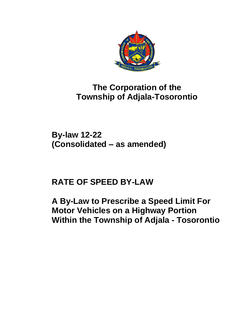

# **The Corporation of the Township of Adjala-Tosorontio**

**By-law 12-22 (Consolidated – as amended)**

# **RATE OF SPEED BY-LAW**

**A By-Law to Prescribe a Speed Limit For Motor Vehicles on a Highway Portion Within the Township of Adjala - Tosorontio**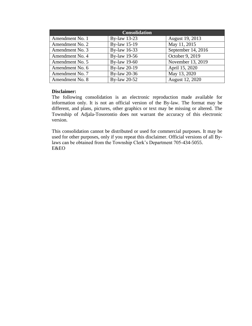| <b>Consolidation</b> |                     |                    |  |
|----------------------|---------------------|--------------------|--|
| Amendment No. 1      | By-law 13-23        | August 19, 2013    |  |
| Amendment No. 2      | <b>By-law 15-19</b> | May 11, 2015       |  |
| Amendment No. 3      | By-law 16-33        | September 14, 2016 |  |
| Amendment No. 4      | By-law 19-56        | October 9, 2019    |  |
| Amendment No. 5      | By-law 19-60        | November 13, 2019  |  |
| Amendment No. 6      | By-law 20-19        | April 15, 2020     |  |
| Amendment No. 7      | By-law 20-36        | May 13, 2020       |  |
| Amendment No. 8      | By-law 20-52        | August 12, 2020    |  |

#### **Disclaimer:**

The following consolidation is an electronic reproduction made available for information only. It is not an official version of the By-law. The format may be different, and plans, pictures, other graphics or text may be missing or altered. The Township of Adjala-Tosorontio does not warrant the accuracy of this electronic version.

This consolidation cannot be distributed or used for commercial purposes. It may be used for other purposes, only if you repeat this disclaimer. Official versions of all Bylaws can be obtained from the Township Clerk's Department 705-434-5055. E&EO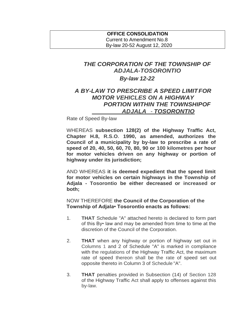### **OFFICE CONSOLIDATION** Current to Amendment No.8 By-law 20-52 August 12, 2020

# *THE CORPORATION OF THE TOWNSHIP OF ADJALA-TOSORONTIO By-law 12-22*

## *A BY-LAW TO PRESCRIBE A SPEED LIMITFOR MOTOR VEHICLES ON A HIGHWAY PORTION WITHIN THE TOWNSHIPOF ADJALA - TOSORONTIO*

Rate of Speed By-law

WHEREAS **subsection 128(2) of the Highway Traffic Act, Chapter H.8, R.S.O. 1990, as amended, authorizes the Council of a municipality by by-law to prescribe a rate of speed of 20, 40, 50, 60, 70, 80, 90 or 100 kilometres per hour for motor vehicles driven on any highway or portion of highway under its jurisdiction;**

AND WHEREAS **it is deemed expedient that the speed limit for motor vehicles on certain highways in the Township of Adjala - Tosorontio be either decreased or increased or both;**

NOW THEREFORE **the Council of the Corporation of the Township of Adjala• Tosorontio enacts as follows:**

- 1. **THAT** Schedule "A" attached hereto is declared to form part of this By• law and may be amended from time to time at the discretion of the Council of the Corporation.
- 2. **THAT** when any highway or portion of highway set out in Columns 1 and 2 of Schedule "A" is marked in compliance with the regulations of the Highway Traffic Act, the maximum rate of speed thereon shall be the rate of speed set out opposite thereto in Column 3 of Schedule "A".
- 3. **THAT** penalties provided in Subsection (14) of Section 128 of the Highway Traffic Act shall apply to offenses against this by-law.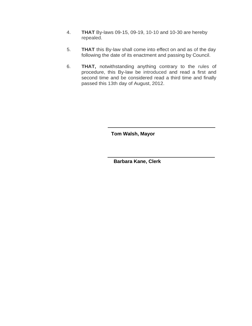- 4. **THAT** By-laws 09-15, 09-19, 10-10 and 10-30 are hereby repealed.
- 5. **THAT** this By-law shall come into effect on and as of the day following the date of its enactment and passing by Council.
- 6. **THAT,** notwithstanding anything contrary to the rules of procedure, this By-law be introduced and read a first and second time and be considered read a third time and finally passed this 13th day of August, 2012.

**Tom Walsh, Mayor**

**Barbara Kane, Clerk**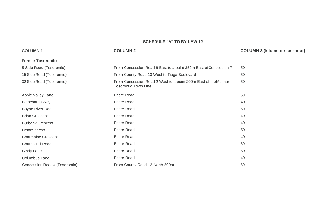#### **SCHEDULE "A" TO BY-LAW 12**

#### **COLUMN 1 COLUMN 2 COLUMN 3 (kilometers perhour) Former Tosorontio** 5 Side Road (Tosorontio) 15 Side Road (Tosorontio) 32 Side Road (Tosorontio) From Concession Road 6 East to a point 350m East of Concession 7 50 From County Road 13 West to Tioga Boulevard 50 From Concession Road 2 West to a point 200m East of theMulmur - 50 Tosorontio Town Line Apple Valley Lane Blanchards Way Boyne River Road Brian Crescent Burbank Crescent Centre Street Charmaine Crescent Church Hill Road Cindy Lane Columbus Lane Concession Road 4 (Tosorontio) Entire Road 50 Entire Road 40 Entire Road 50 Entire Road **40** Entire Road 40 Entire Road 50 Entire Road 40 Entire Road 50 Entire Road 50 Entire Road 40 From County Road 12 North 500m 50 and 50 and 50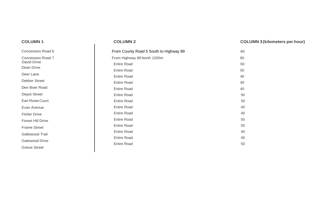| <b>COLUMN1</b>                                  | <b>COLUMN 2</b>                                                | <b>COLUMN 3 (kilometers per hour)</b> |
|-------------------------------------------------|----------------------------------------------------------------|---------------------------------------|
| <b>Concession Road 6</b>                        | From County Road 5 South to Highway 89                         | 60                                    |
| <b>Concession Road 7</b><br>David Drive         | From Highway 89 North 1200m<br><b>Entire Road</b>              | 60<br>50                              |
| Dean Drive<br>Deer Lane<br><b>Dekker Street</b> | <b>Entire Road</b><br><b>Entire Road</b>                       | 50<br>40                              |
| Den Boer Road<br><b>Depot Street</b>            | <b>Entire Road</b><br><b>Entire Road</b><br><b>Entire Road</b> | 40<br>40<br>50                        |
| <b>Earl Rowe Court</b><br>Evan Avenue           | <b>Entire Road</b><br><b>Entire Road</b>                       | 50<br>40                              |
| <b>Fisher Drive</b><br><b>Forest Hill Drive</b> | <b>Entire Road</b><br><b>Entire Road</b>                       | 40<br>50                              |
| <b>Frame Street</b><br>Gallowood Trail          | <b>Entire Road</b><br><b>Entire Road</b><br><b>Entire Road</b> | 50<br>40<br>40                        |
| Gatewood Drive<br><b>Grieve Street</b>          | <b>Entire Road</b>                                             | 50                                    |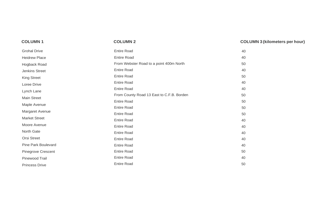| <b>COLUMN1</b>            | <b>COLUMN 2</b>                           | <b>COLUMN 3 (kilometers per hour)</b> |
|---------------------------|-------------------------------------------|---------------------------------------|
| <b>Grohal Drive</b>       | <b>Entire Road</b>                        | 40                                    |
| <b>Heidrew Place</b>      | <b>Entire Road</b>                        | 40                                    |
| Hogback Road              | From Webster Road to a point 400m North   | 50                                    |
| Jenkins Street            | <b>Entire Road</b>                        | 40                                    |
| <b>King Street</b>        | <b>Entire Road</b>                        | 50                                    |
| Loree Drive               | <b>Entire Road</b>                        | 40                                    |
| Lynch Lane                | <b>Entire Road</b>                        | 40                                    |
| Main Street               | From County Road 13 East to C.F.B. Borden | 50                                    |
| Maple Avenue              | <b>Entire Road</b>                        | 50                                    |
|                           | <b>Entire Road</b>                        | 50                                    |
| Margaret Avenue           | <b>Entire Road</b>                        | 50                                    |
| <b>Market Street</b>      | <b>Entire Road</b>                        | 40                                    |
| Moore Avenue              | <b>Entire Road</b>                        | 40                                    |
| North Gate                | <b>Entire Road</b>                        | 40                                    |
| <b>Orsi Street</b>        | <b>Entire Road</b>                        | 40                                    |
| Pine Park Boulevard       | <b>Entire Road</b>                        | 40                                    |
| <b>Pinegrove Crescent</b> | <b>Entire Road</b>                        | 50                                    |
| Pinewood Trail            | <b>Entire Road</b>                        | 40                                    |
| <b>Princess Drive</b>     | <b>Entire Road</b>                        | 50                                    |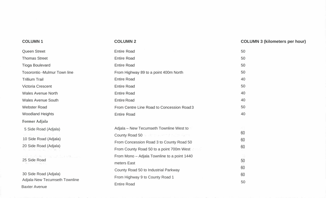| <b>COLUMN1</b>                                         | <b>COLUMN 2</b>                              | <b>COLUMN 3 (kilometers per hour)</b> |
|--------------------------------------------------------|----------------------------------------------|---------------------------------------|
| <b>Queen Street</b>                                    | <b>Entire Road</b>                           | 50                                    |
| <b>Thomas Street</b>                                   | <b>Entire Road</b>                           | 50                                    |
| <b>Tioga Boulevard</b>                                 | <b>Entire Road</b>                           | 50                                    |
| <b>Tosorontio -Mulmur Town line</b>                    | From Highway 89 to a point 400m North        | 50                                    |
| <b>Trillium Trail</b>                                  | <b>Entire Road</b>                           | 40                                    |
| Victoria Crescent                                      | <b>Entire Road</b>                           | 50                                    |
| <b>Wales Avenue North</b>                              | <b>Entire Road</b>                           | 40                                    |
| <b>Wales Avenue South</b>                              | <b>Entire Road</b>                           | 40                                    |
| <b>Webster Road</b>                                    | From Centre Line Road to Concession Road 3   | 50                                    |
| <b>Woodland Heights</b>                                | <b>Entire Road</b>                           | 40                                    |
| <b>Former Adjala</b>                                   |                                              |                                       |
| 5 Side Road (Adjala)                                   | Adjala - New Tecumseth Townline West to      |                                       |
|                                                        | County Road 50 Products and Security Road 50 | 60                                    |
| 10 Side Road (Adjala)<br>20 Side Road (Adjala)         | From Concession Road 3 to County Road 50     | 60                                    |
|                                                        | From County Road 50 to a point 700m West     | 60                                    |
| for Angels and the second<br>25 Side Road              | From Mono - Adjala Townline to a point 1440  |                                       |
|                                                        | meters East                                  | 50                                    |
|                                                        | County Road 50 to Industrial Parkway         | 60                                    |
| 30 Side Road (Adjala)<br>Adjala-New Tecumseth Townline | From Highway 9 to County Road 1              | 60                                    |
| <b>Baxter Avenue</b>                                   | <b>Entire Road</b>                           | 50                                    |
|                                                        |                                              |                                       |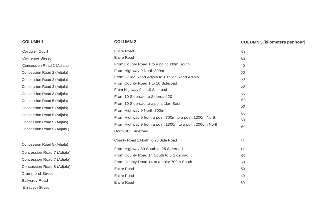### **COLUMN 1 COLUMN**

# **3 (kilometers per hour)**

| <b>Cardwell Court</b>      | <b>Entire Road</b>                                       | 50       |
|----------------------------|----------------------------------------------------------|----------|
| <b>Catherine Street</b>    | <b>Entire Road</b>                                       | 50       |
| Concession Road 2 (Adjala) | From County Road 1 to a point 300m South                 | 40       |
| Concession Road 2 (Adjala) | From Highway 9 North 800m                                | 60       |
| Concession Road 2 (Adjala) | From 5 Side Road Adjala to 10 Side Road Adjala           | 60       |
| Concession Road 3 (Adjala) | From County Road 1 to 10 Sideroad                        | 50       |
| Concession Road 3 (Adjala) | From Highway 9 to 10 Sideroad                            | 60       |
|                            | From 10 Sideroad to Sideroad 20                          | 60       |
| Concession Road 5 (Adjala) | From 10 Sideroad to a point 1km South                    | 50       |
| Concession Road 5 (Adjala) | From Highway 9 North 700m                                |          |
| Concession Road 5 (Adjala) | From Highway 9 from a point 700m to a point 1300m North  | 60       |
| Concession Road 5 (Adjala) | From Highway 9 from a point 1300m to a point 2000m North | 50<br>60 |
| Concession Road 5 (Adjala) | North of 5 Sideroad                                      |          |
|                            | County Road 1 North to 20 Side Road                      | 60       |
| Concession Road 5 (Adjala) | From Highway 89 South to 25 Sideroad                     | 60       |
| Concession Road 7 (Adjala) | From County Road 14 South to 5 Sideroad                  | 60       |
| Concession Road 7 (Adjala) | From County Road 14 to a point 700m South                | 50       |
| Concession Road 8 (Adjala) | <b>Entire Road</b>                                       | 50       |
| <b>Drummond Street</b>     | <b>Entire Road</b>                                       | 40       |
| <b>Ballycroy Road</b>      | <b>Entire Road</b>                                       | 50       |
| <b>Elizabeth Street</b>    |                                                          |          |

**COLUMN 2**